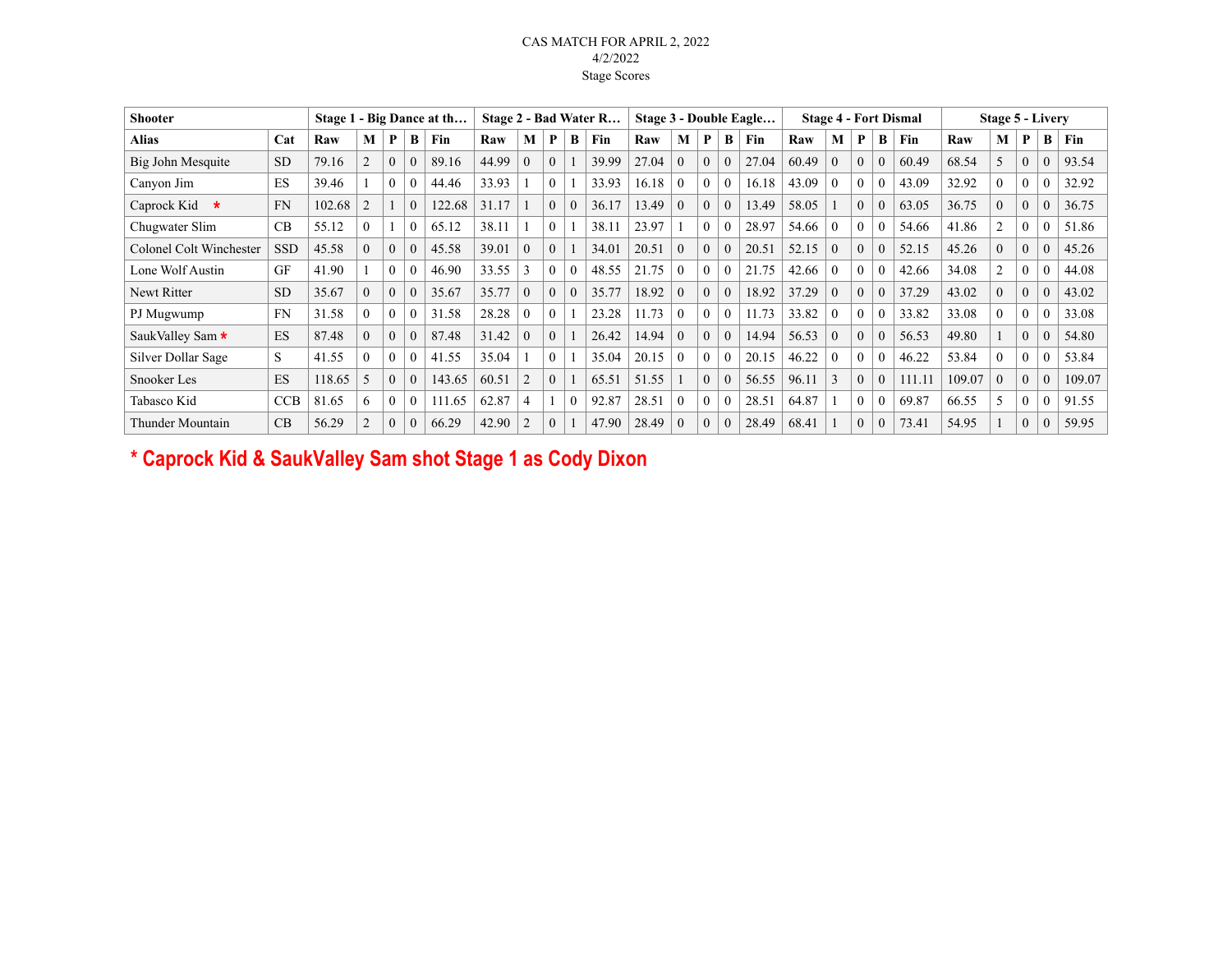## CAS MATCH FOR APRIL 2, 2022 4/2/2022 Stage Scores

| <b>Shooter</b>          |            |        |                |                |          | Stage 1 - Big Dance at th |       |                |              |          | Stage 2 - Bad Water R |       |          |                |          | Stage 3 - Double Eagle |       |          |              |          | <b>Stage 4 - Fort Dismal</b> |        | <b>Stage 5 - Livery</b> |              |          |        |
|-------------------------|------------|--------|----------------|----------------|----------|---------------------------|-------|----------------|--------------|----------|-----------------------|-------|----------|----------------|----------|------------------------|-------|----------|--------------|----------|------------------------------|--------|-------------------------|--------------|----------|--------|
| <b>Alias</b>            | Cat        | Raw    | М              | P              | B        | Fin                       | Raw   | M              | P            | B        | Fin                   | Raw   | M        | P              | B        | Fin                    | Raw   | M        | P            | B        | Fin                          | Raw    | М                       | P            | B        | Fin    |
| Big John Mesquite       | <b>SD</b>  | 79.16  |                | $\overline{0}$ | $\Omega$ | 89.16                     | 44.99 | $\theta$       | $\Omega$     |          | 39.99                 | 27.04 | $\theta$ | $\overline{0}$ |          | 27.04                  | 60.49 | $\theta$ | $\mathbf{0}$ |          | 60.49                        | 68.54  | 5                       | $\theta$     | 0        | 93.54  |
| Canyon Jim              | ES         | 39.46  |                | $\theta$       | 0        | 44.46                     | 33.93 |                | $\theta$     |          | 33.93                 | 16.18 | $\theta$ | $\theta$       | $\theta$ | 16.18                  | 43.09 | $\theta$ | $\theta$     |          | 43.09                        | 32.92  | $\theta$                | $\theta$     |          | 32.92  |
| Caprock Kid<br>$\ast$   | <b>FN</b>  | 102.68 | $\overline{2}$ |                | $\Omega$ | 122.68                    | 31.17 |                | $\theta$     | $\Omega$ | 36.17                 | 13.49 | $\theta$ | $\Omega$       | $\theta$ | 13.49                  | 58.05 |          | $\Omega$     | $\Omega$ | 63.05                        | 36.75  | $\theta$                | $\theta$     | 0        | 36.75  |
| Chugwater Slim          | CB         | 55.12  | $\Omega$       |                | $\Omega$ | 65.12                     | 38.11 |                | $\theta$     |          | 38.11                 | 23.97 |          | $\Omega$       |          | 28.97                  | 54.66 | $\Omega$ | $\theta$     | $\Omega$ | 54.66                        | 41.86  |                         | $\theta$     | 0        | 51.86  |
| Colonel Colt Winchester | <b>SSD</b> | 45.58  | $\Omega$       | $\theta$       | $\Omega$ | 45.58                     | 39.01 | $\theta$       | $\Omega$     |          | 34.01                 | 20.51 | $\theta$ | $\Omega$       |          | 20.51                  | 52.15 | $\theta$ | $\theta$     | $\Omega$ | 52.15                        | 45.26  | $\theta$                | $\theta$     | 0        | 45.26  |
| Lone Wolf Austin        | <b>GF</b>  | 41.90  |                | $\theta$       | $\Omega$ | 46.90                     | 33.55 | $\mathbf{3}$   | $\theta$     | $\Omega$ | 48.55                 | 21.75 | $\theta$ | $\theta$       |          | 21.75                  | 42.66 | $\theta$ | $\theta$     | $\Omega$ | 42.66                        | 34.08  | 2                       | $\theta$     | 0        | 44.08  |
| Newt Ritter             | <b>SD</b>  | 35.67  | $\Omega$       | $\theta$       | $\Omega$ | 35.67                     | 35.77 | $\theta$       | $\theta$     | $\theta$ | 35.77                 | 18.92 | $\theta$ | $\theta$       |          | 18.92                  | 37.29 | $\theta$ | $\theta$     | $\Omega$ | 37.29                        | 43.02  | $\theta$                | $\Omega$     | 0        | 43.02  |
| PJ Mugwump              | <b>FN</b>  | 31.58  | $\Omega$       |                | 0        | 31.58                     | 28.28 | $\theta$       | $\theta$     |          | 23.28                 | 11.73 | $\theta$ | $\theta$       |          | 11.73                  | 33.82 | $\theta$ | $\theta$     | $\theta$ | 33.82                        | 33.08  | $\theta$                | $\Omega$     | 0        | 33.08  |
| SaukValley Sam *        | ES         | 87.48  | $\Omega$       | $\mathbf{0}$   | $\Omega$ | 87.48                     | 31.42 | $\Omega$       | $\Omega$     |          | 26.42                 | 14.94 | $\theta$ | $\theta$       | $\theta$ | 14.94                  | 56.53 | $\theta$ | $\mathbf{0}$ | $\theta$ | 56.53                        | 49.80  |                         | $\mathbf{0}$ | $\Omega$ | 54.80  |
| Silver Dollar Sage      | S.         | 41.55  | $\theta$       | $\theta$       | 0        | 41.55                     | 35.04 |                | $\mathbf{0}$ |          | 35.04                 | 20.15 | $\theta$ | $\theta$       |          | 20.15                  | 46.22 | $\theta$ | $\mathbf{0}$ | $\Omega$ | 46.22                        | 53.84  | $\theta$                | $\Omega$     | 0        | 53.84  |
| Snooker Les             | ES         | 118.65 | 5              | $\theta$       | $\Omega$ | 143.65                    | 60.51 | 2              | $\mathbf{0}$ |          | 65.51                 | 51.55 |          | $\theta$       | $\theta$ | 56.55                  | 96.11 | 3        | $\theta$     | $\Omega$ | 111.11                       | 109.07 | $\theta$                | $\theta$     | $\theta$ | 109.07 |
| Tabasco Kid             | <b>CCB</b> | 81.65  | 6              | $\mathbf{0}$   | $\theta$ | 111.65                    | 62.87 | $\overline{4}$ |              | $\theta$ | 92.87                 | 28.51 | $\theta$ | $\mathbf{0}$   |          | 28.51                  | 64.87 |          | $\mathbf{0}$ |          | 69.87                        | 66.55  | 5                       | $\theta$     | $\theta$ | 91.55  |
| Thunder Mountain        | CB         | 56.29  | $\overline{2}$ | $\mathbf{0}$   | $\Omega$ | 66.29                     | 42.90 |                | $\theta$     |          | 47.90                 | 28.49 | $\theta$ | $\theta$       | $\Omega$ | 28.49                  | 68.41 |          | $\theta$     | $\theta$ | 73.41                        | 54.95  |                         | $\theta$     | $\Omega$ | 59.95  |

**\* Caprock Kid & SaukValley Sam shot Stage 1 as Cody Dixon**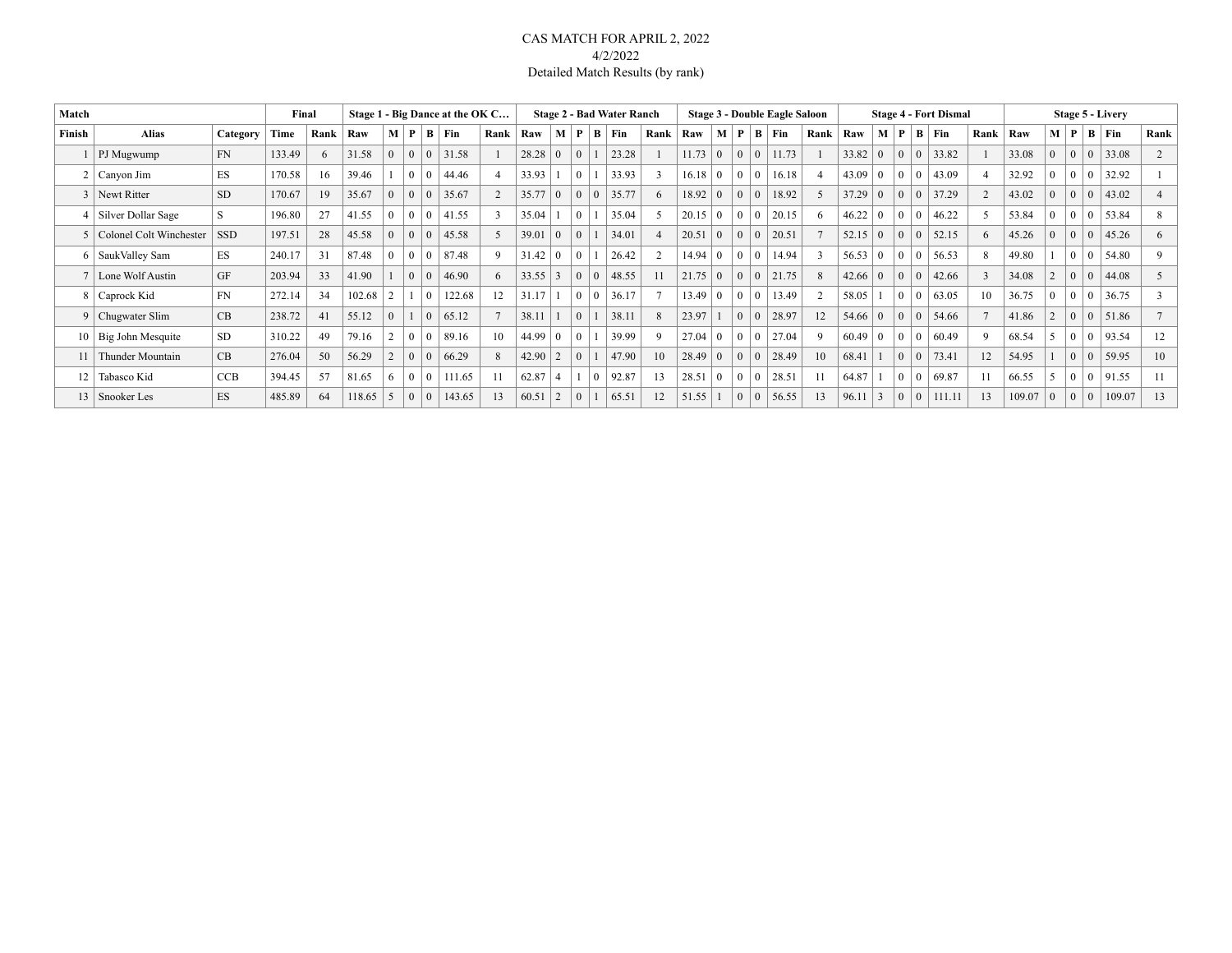### CAS MATCH FOR APRIL 2, 2022 4/2/2022 Detailed Match Results (by rank)

| Match  |                         |            | Final  |      |        |                |                | Stage 1 - Big Dance at the OK C |      |                |                |                |                | <b>Stage 2 - Bad Water Ranch</b> |                |                |                |                |                  | <b>Stage 3 - Double Eagle Saloon</b> |                |       |                |                |                | <b>Stage 4 - Fort Dismal</b> |                |        |                |                |   | <b>Stage 5 - Livery</b> |      |
|--------|-------------------------|------------|--------|------|--------|----------------|----------------|---------------------------------|------|----------------|----------------|----------------|----------------|----------------------------------|----------------|----------------|----------------|----------------|------------------|--------------------------------------|----------------|-------|----------------|----------------|----------------|------------------------------|----------------|--------|----------------|----------------|---|-------------------------|------|
| Finish | <b>Alias</b>            | Category   | Time   | Rank | Raw    | M   P          |                | $B \mid Fin$                    | Rank | Raw            | $\mathbf{M}$   | $\mathbf{P}$   | B.             | Fin                              | Rank           | Raw            | M              | P              | B                | Fin                                  | Rank           | Raw   | M              | P              |                | $B$ Fin                      | Rank           | Raw    |                | M   P          | B | Fin                     | Rank |
|        | PJ Mugwump              | <b>FN</b>  | 133.49 | 6    | 31.58  | $\theta$       | $\overline{0}$ | 31.58                           |      | 28.28          | $\theta$       | $\overline{0}$ |                | 23.28                            |                | 11.73          | $\theta$       | $\Omega$       | $\overline{0}$   | 11.73                                |                | 33.82 | $\theta$       | $\mathbf{0}$   | $\overline{0}$ | 33.82                        |                | 33.08  | $\theta$       | $\overline{0}$ |   | 33.08                   |      |
|        | 2   Canyon Jim          | ES         | 170.58 | 16   | 39.46  |                | $\Omega$       | 44.46                           |      | 33.93          |                | $\Omega$       |                | 33.93                            | 3              | 16.18          | 0              | $\Omega$       | $\overline{0}$   | 16.18                                | 4              | 43.09 | $\overline{0}$ | $\mathbf{0}$   | $\Omega$       | 43.09                        |                | 32.92  | $\Omega$       | $\Omega$       |   | 32.92                   |      |
|        | 3 Newt Ritter           | <b>SD</b>  | 170.67 | 19   | 35.67  | $\overline{0}$ | $\theta$       | 35.67                           |      | 35.77          | $\overline{0}$ | $\overline{0}$ |                | 35.77                            | 6              | 18.92          | $\overline{0}$ | $\Omega$       | $\mathbf{0}$     | 18.92                                | $\overline{2}$ | 37.29 | $\Omega$       | $\mathbf{0}$   | $\overline{0}$ | 37.29                        | $\overline{2}$ | 43.02  | $\Omega$       | $\mathbf{0}$   |   | 43.02                   |      |
|        | Silver Dollar Sage      | S          | 196.80 | 27   | 41.55  | $\theta$       | $\mathbf{0}$   | 41.55                           |      | 35.04          |                | $\mathbf{0}$   |                | 35.04                            | 5              | 20.15          | $\overline{0}$ | $\Omega$       | $\boldsymbol{0}$ | 20.15                                | 6              | 46.22 |                | $\mathbf{0}$   | $\Omega$       | 46.22                        | 5              | 53.84  | $\mathbf{0}$   | $\mathbf{0}$   |   | 53.84                   |      |
|        | Colonel Colt Winchester | <b>SSD</b> | 197.51 | 28   | 45.58  | $\mathbf{0}$   | $\mathbf{0}$   | 45.58                           |      | 39.01          | $\overline{0}$ | $\overline{0}$ |                | 34.01                            | $\overline{4}$ | 20.51          | $\theta$       | $\overline{0}$ | $\mathbf{0}$     | 20.51                                |                | 52.15 | $\overline{0}$ | $\mathbf{0}$   | $\overline{0}$ | 52.15                        | 6              | 45.26  | $\overline{0}$ | $\overline{0}$ |   | 45.26                   | 6    |
|        | 6   SaukValley Sam      | <b>ES</b>  | 240.17 | 31   | 87.48  | $\theta$       | $\overline{0}$ | 87.48                           | q    | $31.42 \mid 0$ |                | $\bf{0}$       |                | 26.42                            | $\overline{2}$ | $14.94 \mid 0$ |                | $\Omega$       | $\mathbf{0}$     | 14.94                                | $\mathbf{3}$   | 56.53 | $\overline{0}$ | $\overline{0}$ | $\mathbf{0}$   | 56.53                        | 8              | 49.80  |                | $\overline{0}$ |   | 54.80                   | 9    |
|        | Lone Wolf Austin        | <b>GF</b>  | 203.94 | 33   | 41.90  |                | $\Omega$       | 46.90                           |      | $33.55$ 3      |                | $\theta$       | $\overline{0}$ | 48.55                            | 11             | 21.75          | $\overline{0}$ | $\Omega$       | $\theta$         | 21.75                                | 8              | 42.66 | $\overline{0}$ | $\mathbf{0}$   | $\overline{0}$ | 42.66                        | 3              | 34.08  |                | $\theta$       |   | 44.08                   | 5    |
|        | 8 Caprock Kid           | <b>FN</b>  | 272.14 | 34   | 102.68 |                |                | 122.68                          |      | 31.17          |                | $\Omega$       | $\Omega$       | 36.17                            | $\overline{7}$ | 13.49          | $\theta$       | $\Omega$       | $\overline{0}$   | 13.49                                | $\overline{2}$ | 58.05 |                | $\Omega$       | $\Omega$       | 63.05                        | 10             | 36.75  | $\Omega$       | $\mathbf{0}$   |   | 36.75                   |      |
|        | 9 Chugwater Slim        | CB         | 238.72 | 41   | 55.12  | $\Omega$       |                | 65.12                           |      | 38.11          |                | $\theta$       |                | 38.11                            | 8              | 23.97          |                | $\Omega$       | $\mathbf{0}$     | 28.97                                | 12             | 54.66 | $\Omega$       | $\Omega$       | $\overline{0}$ | 54.66                        |                | 41.86  |                | $\Omega$       |   | 51.86                   |      |
|        | 10   Big John Mesquite  | <b>SD</b>  | 310.22 | 49   | 79.16  |                | $\theta$       | 89.16                           |      | $44.99 \mid 0$ |                | $\theta$       |                | 39.99                            | 9              | $27.04 \mid 0$ |                | $\Omega$       | $\overline{0}$   | 27.04                                | 9              | 60.49 | $\overline{0}$ | $\Omega$       | $\Omega$       | 60.49                        | $\mathbf Q$    | 68.54  |                | $\Omega$       |   | 93.54                   | 12   |
|        | Thunder Mountain        | CB         | 276.04 | 50   | 56.29  |                | $\Omega$       | 66.29                           |      | $42.90 \mid 2$ |                | $\overline{0}$ |                | 47.90                            | 10             | 28.49          | $\Omega$       | $\Omega$       | $\overline{0}$   | 28.49                                | 10             | 68.41 |                | $\Omega$       | $\overline{0}$ | 73.41                        | 12             | 54.95  |                | $\overline{0}$ |   | 59.95                   | 10   |
| 12     | Tabasco Kid             | CCB        | 394.45 | 57   | 81.65  | -6             | $\theta$       | 111.65                          |      | 62.87          | 4              |                |                | 92.87                            | 13             | 28.51          | $\overline{0}$ | $\Omega$       | $^+$ 0           | 28.51                                | 11             | 64.87 |                | $\Omega$       | -0             | 69.87                        | 11             | 66.55  |                | $\theta$       |   | 91.55                   |      |
| 13     | Snooker Les             | ES         | 485.89 | 64   | 118.65 | 5              | $\overline{0}$ | 143.65                          |      | 60.51          | $\overline{2}$ | $\overline{0}$ |                | 65.51                            | 12             | 51.55          |                | $\Omega$       | $\overline{0}$   | 56.55                                | 13             | 96.11 | 3              | $\theta$       | $\mathbf{0}$   | 111.11                       | 13             | 109.07 | $\Omega$       | $\mathbf{0}$   |   | 109.07                  | 13   |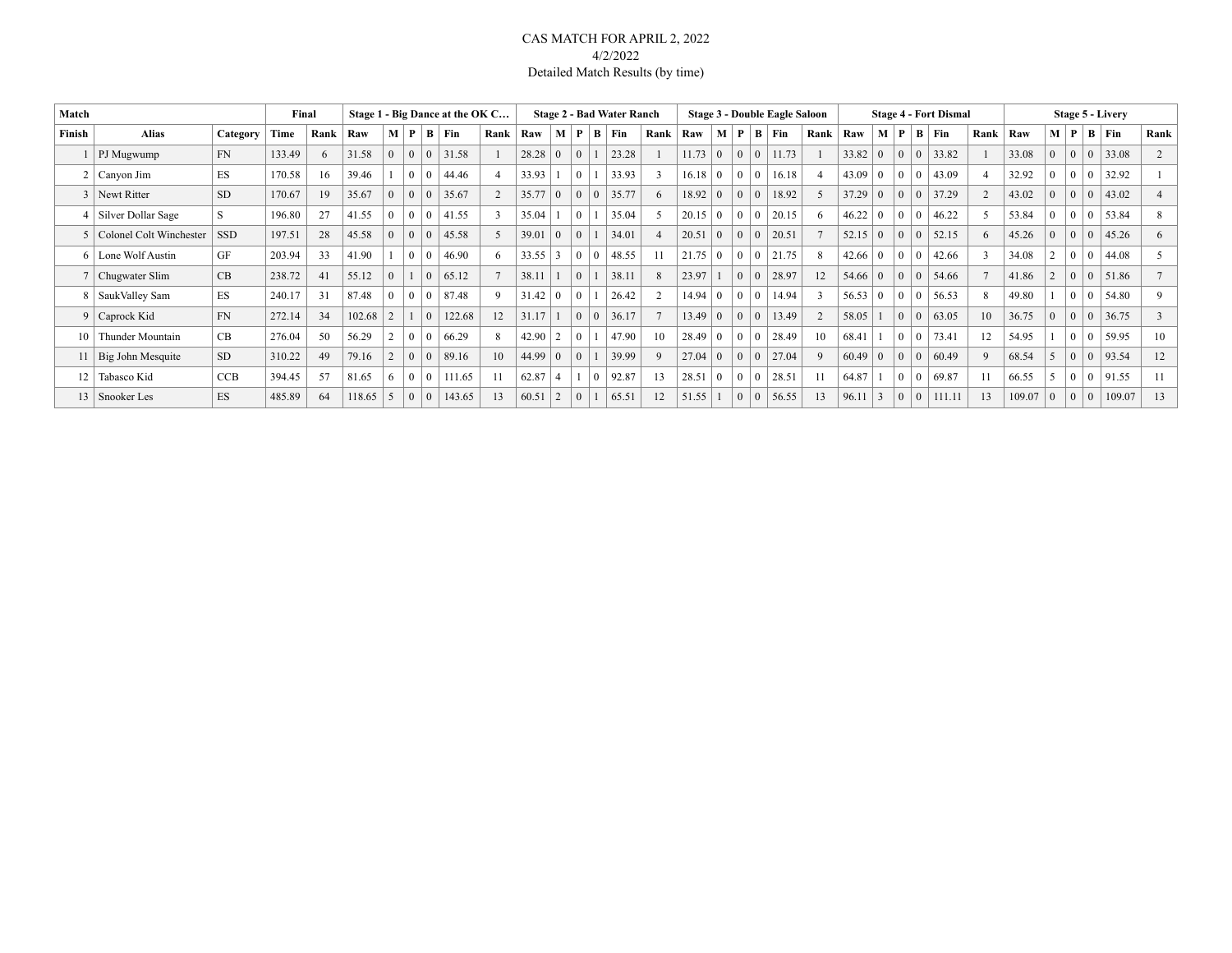### CAS MATCH FOR APRIL 2, 2022 4/2/2022 Detailed Match Results (by time)

| Match           |                             |            | Final  |      |        |          |   |              | Stage 1 - Big Dance at the OK C |      |                |                |              |                | <b>Stage 2 - Bad Water Ranch</b> |                 |                |                |          |          | <b>Stage 3 - Double Eagle Saloon</b> |                |                |                 |              |                | <b>Stage 4 - Fort Dismal</b> |                |        |                |                | <b>Stage 5 - Livery</b> |        |      |
|-----------------|-----------------------------|------------|--------|------|--------|----------|---|--------------|---------------------------------|------|----------------|----------------|--------------|----------------|----------------------------------|-----------------|----------------|----------------|----------|----------|--------------------------------------|----------------|----------------|-----------------|--------------|----------------|------------------------------|----------------|--------|----------------|----------------|-------------------------|--------|------|
| Finish          | <b>Alias</b>                | Category   | Time   | Rank | Raw    | M        | P | $\mathbf{B}$ | Fin                             | Rank | Raw            | M              | P            | B.             | <b>Fin</b>                       | Rank            | Raw            | M              | P        | B        | Fin                                  | Rank           | Raw            | M               | P            | B              | Fin                          | Rank           | Raw    | M   P          |                | B Fin                   |        | Rank |
|                 | PJ Mugwump                  | <b>FN</b>  | 133.49 | 6    | 31.58  | $\Omega$ |   | $\theta$     | 31.58                           |      | 28.28          |                | $\Omega$     |                | 23.28                            |                 | 11.73          | $\theta$       | $\Omega$ | $\theta$ | 11.73                                |                | 33.82          | $\overline{0}$  | $\mathbf{0}$ | $\Omega$       | 33.82                        |                | 33.08  | $\theta$       | $\mathbf{0}$   | 33.08                   |        |      |
|                 | $2$   Canyon Jim            | ES         | 170.58 | 16   | 39.46  |          |   | $\Omega$     | 44.46                           |      | 33.93          |                | $\Omega$     |                | 33.93                            | 3               | $16.18 \mid 0$ |                | $\Omega$ |          | 16.18                                | $\overline{4}$ | 43.09          | $\overline{0}$  | $\mathbf{0}$ | -0             | 43.09                        |                | 32.92  |                | $\Omega$       |                         | 32.92  |      |
|                 | Newt Ritter                 | <b>SD</b>  | 170.67 | 19   | 35.67  | $\Omega$ |   | $\theta$     | 35.67                           |      | 35.77          | $\theta$       | $\mathbf{0}$ | $\overline{0}$ | 35.77                            | 6               | 18.92          | $\Omega$       | $\Omega$ |          | 18.92                                | $\overline{2}$ | 37.29          | $\overline{0}$  | $\mathbf{0}$ | $\Omega$       | 37.29                        | 2              | 43.02  | $\Omega$       | $\theta$       |                         | 43.02  |      |
|                 | 4   Silver Dollar Sage      | S          | 196.80 | 27   | 41.55  | $\Omega$ |   | $\theta$     | 41.55                           |      | 35.04          |                | $\theta$     |                | 35.04                            | 5               | 20.15          | $\Omega$       | $\Omega$ |          | 20.15                                | 6              | 46.22          |                 | $\mathbf{0}$ | -0             | 46.22                        | 5              | 53.84  | $\mathbf{0}$   | $\theta$       |                         | 53.84  |      |
|                 | 5   Colonel Colt Winchester | <b>SSD</b> | 197.51 | 28   | 45.58  | $\theta$ |   | $\theta$     | 45.58                           |      | 39.01          |                | $\mathbf{0}$ |                | 34.01                            | $\overline{4}$  | 20.51          | $\theta$       | $\Omega$ |          | 20.51                                |                | 52.15          | $\vert 0 \vert$ | $\mathbf{0}$ | $\Omega$       | 52.15                        | 6              | 45.26  | $\overline{0}$ | $\overline{0}$ |                         | 45.26  | 6    |
| 6               | Lone Wolf Austin            | GF         | 203.94 | 33   | 41.90  |          |   | $\theta$     | 46.90                           |      | 33.55          | 3              | $\theta$     | $\overline{0}$ | 48.55                            | 11              | 21.75          | $\overline{0}$ | $\Omega$ |          | 21.75                                | 8              | $42.66 \mid 0$ |                 | $\mathbf{0}$ | $\theta$       | 42.66                        | $\overline{3}$ | 34.08  |                | $\overline{0}$ |                         | 44.08  |      |
|                 | 7   Chugwater Slim          | CB         | 238.72 | 41   | 55.12  | $\Omega$ |   | $\Omega$     | 65.12                           |      | 38.11          |                | $\theta$     |                | 38.11                            | 8               | 23.97          |                | $\Omega$ |          | 28.97                                | 12             | $54.66 \mid 0$ |                 | $\mathbf{0}$ | $\overline{0}$ | 54.66                        |                | 41.86  |                | $\theta$       |                         | 51.86  |      |
|                 | SaukValley Sam              | <b>ES</b>  | 240.17 | 31   | 87.48  |          |   | $\theta$     | 87.48                           |      | 31.42          |                | $\theta$     |                | 26.42                            | $\overline{2}$  | $14.94 \mid 0$ |                | $\Omega$ |          | 14.94                                | $\mathbf{3}$   | $56.53 \mid 0$ |                 | $\mathbf{0}$ | $\theta$       | 56.53                        | 8              | 49.80  |                | $\overline{0}$ |                         | 54.80  | 9    |
|                 | 9 Caprock Kid               | <b>FN</b>  | 272.14 | 34   | 102.68 |          |   |              | 122.68                          |      | 31.17          |                | $\theta$     | $\overline{0}$ | 36.17                            | $7\phantom{.0}$ | 13.49          | $\Omega$       | $\Omega$ |          | 13.49                                | 2              | 58.05          |                 | $\mathbf{0}$ | $\overline{0}$ | 63.05                        | 10             | 36.75  | $\Omega$       | $\theta$       |                         | 36.75  |      |
| 10 <sup>1</sup> | Thunder Mountain            | CB         | 276.04 | 50   | 56.29  |          |   |              | 66.29                           |      | 42.90          | $\mathfrak{D}$ | $\Omega$     |                | 47.90                            | 10              | $28.49 \mid 0$ |                | $\Omega$ |          | 28.49                                | 10             | 68.41          |                 | $\theta$     | $\Omega$       | 73.41                        | 12             | 54.95  |                | $\Omega$       |                         | 59.95  | 10   |
|                 | Big John Mesquite           | <b>SD</b>  | 310.22 | 49   | 79.16  |          |   | $\Omega$     | 89.16                           | 10   | $44.99 \mid 0$ |                | $\theta$     |                | 39.99                            | $\mathbf{Q}$    | 27.04          | $\overline{0}$ | $\Omega$ |          | 27.04                                | Q              | 60.49          | $\overline{0}$  | $\mathbf{0}$ | O              | 60.49                        | $\mathbf{Q}$   | 68.54  |                | $\Omega$       |                         | 93.54  | 12   |
| 12 <sup>1</sup> | Tabasco Kid                 | <b>CCB</b> | 394.45 | 57   | 81.65  | 6        |   | $\theta$     | 111.65                          |      | 62.87          | 4              |              | $\Omega$       | 92.87                            | 13              | 28.51          | $\theta$       | $\theta$ |          | 28.51                                | 11             | 64.87          |                 | $\mathbf{0}$ | -0             | 69.87                        | 11             | 66.55  |                | $\overline{0}$ |                         | 91.55  |      |
|                 | 13   Snooker Les            | ES         | 485.89 | 64   | 118.65 |          |   | $\theta$     | 143.65                          |      | 60.51          | $\overline{2}$ | $\Omega$     |                | 65.51                            | 12              | 51.55          |                | $\Omega$ |          | 56.55                                | 13             | 96.11          | 3               | $\mathbf{0}$ | $\overline{0}$ | 111.11                       | 13             | 109.07 | $\overline{0}$ | $\mathbf{0}$   |                         | 109.07 | 13   |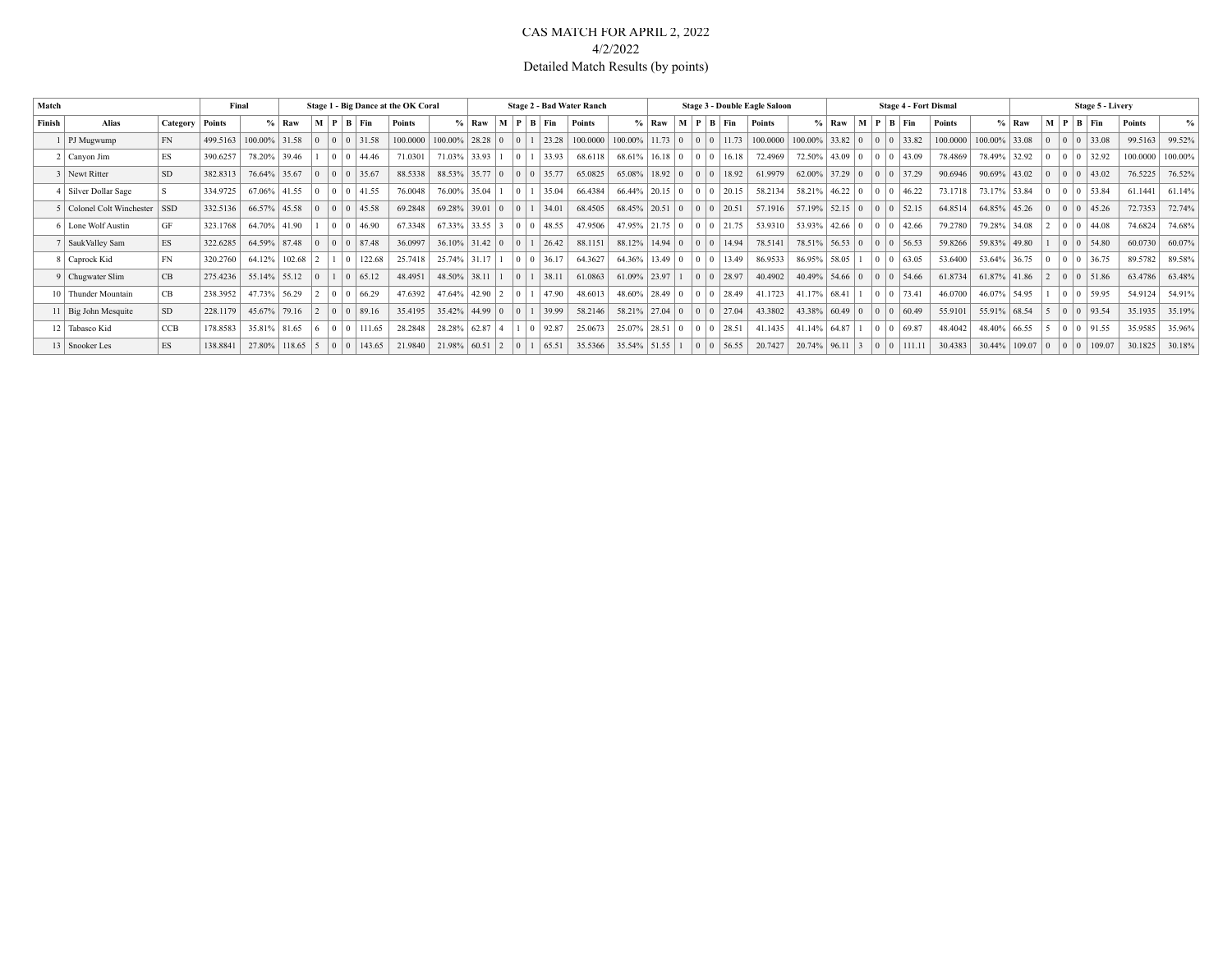### CAS MATCH FOR APRIL 2, 2022 4/2/2022 Detailed Match Results (by points)

| Match  |                           |            |          | Final                  |         |                   |                            |                         | Stage 1 - Big Dance at the OK Coral |                        |                       |                |                                              |                                 | <b>Stage 2 - Bad Water Ranch</b> |                                       |                |                 |                 |                          | Stage 3 - Double Eagle Saloon |                              |                     |           |                                       | <b>Stage 4 - Fort Dismal</b> |                 |              |                | Stage 5 - Livery                        |          |               |
|--------|---------------------------|------------|----------|------------------------|---------|-------------------|----------------------------|-------------------------|-------------------------------------|------------------------|-----------------------|----------------|----------------------------------------------|---------------------------------|----------------------------------|---------------------------------------|----------------|-----------------|-----------------|--------------------------|-------------------------------|------------------------------|---------------------|-----------|---------------------------------------|------------------------------|-----------------|--------------|----------------|-----------------------------------------|----------|---------------|
| Finish | <b>Alias</b>              | Category   | Points   |                        | $%$ Raw |                   |                            | $M$   $P$   $B$   $Fin$ | Points                              |                        | $%$ Raw               |                |                                              | $\mid M \mid P \mid B \mid Fin$ | Points                           |                                       | $\%$ Raw       |                 |                 | $M$   $P$   $B$   $F$ in | Points                        |                              | $%$ Raw             |           | $M$   $P$   $B$   $Fin$               | Points                       |                 | $%$ Raw      |                | $M$   $P$   $B$   $Fin$                 | Points   | $\frac{0}{0}$ |
|        | PJ Mugwump                | FN         | 499.5163 | $100.00\%$ 31.58       |         |                   | $\Omega$                   | 0 31.58                 | 100.0000                            | $100.00\%$   28.28   0 |                       | $\overline{0}$ |                                              | 23.28                           | 100.0000                         | 100.00%                               | 11.73          | $\overline{0}$  | 0 <sup>10</sup> | 11.73                    | 100.0000                      | $100.00\%$ 33.82 0 0 0 33.82 |                     |           |                                       | 100,0000                     | 100.00% 33.08   |              |                | 0 0 0 33.08                             | 99.5163  | 99.52%        |
|        | 2 Canyon Jim              | ES         | 390.6257 | 78.20% 39.46           |         |                   |                            | $0 \mid 0 \mid 44.46$   | 71.0301                             | 71.03%                 | 33.93                 |                | $\begin{array}{c c} 0 & 1 \\ \end{array}$    | 33.93                           | 68.6118                          | $68.61\%$   16.18   0                 |                |                 | 0 <sup>10</sup> | 16.18                    | 72.4969                       |                              |                     |           | $72.50\%$ 43.09 0 0 0 43.09           | 78.4869                      | 78.49%          | 32.92        | $\overline{0}$ | 0 0 32.92                               | 100.0000 | 100.00%       |
|        | 3 Newt Ritter             | <b>SD</b>  | 382.8313 | 76.64% 35.67           |         |                   | $\Omega$                   | 35.67                   | 88.5338                             |                        | $88.53\%$ 35.77 0     |                |                                              | 0 0 35.77                       | 65.0825                          | 65.08%                                | $18.92 \mid 0$ |                 | 0 <sup>10</sup> | 18.92                    | 61.9979                       |                              | 62.00% 37.29        |           | $0 \t0 \t0 \t37.29$                   | 90.6946                      | $90.69\%$ 43.02 |              |                | 0 0 0 43.02                             | 76.5225  | 76.52%        |
|        | 4   Silver Dollar Sage    |            | 334.9725 | 67.06% 41.55           |         |                   | $\Omega$                   | $ 0 $ 41.55             | 76.0048                             |                        | 76.00% 35.04          |                | $\begin{array}{c} 0 & 1 \end{array}$         | 35.04                           | 66.4384                          | $66.44\%$ 20.15 0                     |                |                 | 0 <sup>10</sup> | 20.15                    | 58.2134                       |                              | $58.21\%$ 46.22 0   |           | 0 0 46.22                             | 73.1718                      | 73.17% 53.84    |              |                | 0 0 0 53.84                             | 61.1441  | 61.14%        |
|        | 5 Colonel Colt Winchester | <b>SSD</b> | 332.5136 | 66.57% 45.58           |         |                   | $\Omega$                   | 45.58                   | 69.2848                             | 69.28% 39.01           |                       | $\sqrt{0}$     |                                              | 34.01                           | 68.4505                          | 68.45% 20.51                          |                | $\vert 0 \vert$ | 0 <sup>10</sup> | 20.51                    | 57.1916                       |                              |                     |           | $57.19\%$ $52.15$ 0 0 0 52.15         | 64.8514                      | 64.85% 45.26    |              | $\overline{0}$ | 0 0 45.26                               | 72.7353  | 72.74%        |
|        | 6   Lone Wolf Austin      | GF         | 323.1768 | 64.70% 41.90           |         |                   | $\Omega$                   | $ 0 $ 46.90             | 67.3348                             |                        | $67.33\%$ 33.55 3     |                |                                              | 0 0 48.55                       | 47.9506                          | $47.95\%$   21.75   0                 |                |                 |                 | 0 0 21.75                | 53.9310                       |                              |                     |           | $53.93\%$   42.66   0   0   0   42.66 | 79.2780                      |                 | 79.28% 34.08 |                | $ 2 \t  0 \t  0 \t  44.08$              | 74.6824  | 74.68%        |
|        | <b>SaukValley Sam</b>     | ES         | 322.6285 | 64.59% 87.48           |         | $\overline{0}$    | $\Omega$                   | 0 87.48                 | 36.0997                             |                        | $36.10\%$ 31.42 0     |                | $\begin{array}{c c c c c} 0 & 1 \end{array}$ | 26.42                           | 88.1151                          | $88.12\%$   14.94   0   0   0   14.94 |                |                 |                 |                          | 78.5141                       |                              |                     |           | 78.51% 56.53 0 0 0 56.53              | 59.8266                      | 59.83% 49.80    |              |                | 0 0 54.80                               | 60.0730  | 60.07%        |
|        | 8 Caprock Kid             | FN         | 320.2760 | 64.12% 102.68          |         |                   |                            | 122.68                  | 25.7418                             |                        | 25.74% 31.17          |                |                                              | 0 0 36.17                       | 64.3627                          | $64.36\%$   13.49   0                 |                |                 | 0 <sup>10</sup> | 13.49                    | 86.9533                       |                              | 86.95% 58.05        |           | 0 0 63.05                             | 53.6400                      | 53.64% 36.75    |              | $\overline{0}$ | 0 0 36.75                               | 89.5782  | 89.58%        |
|        | 9 Chugwater Slim          | CB.        | 275.4236 | 55.14% 55.12           |         |                   |                            | 65.12                   | 48.4951                             | 48.50% 38.11           |                       |                | $\begin{array}{c c} 0 & 1 \\ \end{array}$    | 38.11                           | 61.0863                          | $61.09\%$ 23.97                       |                |                 |                 | $0 \mid 0 \mid 28.97$    | 40.4902                       | 40.49%                       |                     |           | $54.66$ 0 0 0 54.66                   | 61.8734                      | $61.87\%$ 41.86 |              |                | $ 2 \t  0 \t  0 \t  51.86$              | 63.4786  | 63.48%        |
|        | 10 Thunder Mountain       | CB         | 238.3952 | 47.73% 56.29           |         | $\vert 2 \vert$   | $\Omega$                   | $ 0 $ 66.29             | 47.6392                             |                        | $47.64\%$   42.90   2 |                | $\begin{array}{c c} 0 & 1 \\ \end{array}$    | $ 47.90\rangle$                 | 48.6013                          | $48.60\%$   28.49   0                 |                |                 | 0 <sup>10</sup> | 28.49                    | 41.1723                       |                              | $41.17\%$ 68.41   1 |           | 0 0 73.41                             | 46.0700                      | 46.07% 54.95    |              |                | 0 0 59.95                               | 54.9124  | 54.91%        |
|        | 11   Big John Mesquite    | <b>SD</b>  | 228.1179 | $45.67\%$ 79.16        |         | $\vert 2 \rangle$ |                            | $0 \mid 0 \mid 89.16$   | 35.4195                             |                        | $35.42\%$ 44.99 0     |                | $\begin{array}{c c} 0 & 1 \\ \end{array}$    | 39.99                           | 58.2146                          | $58.21\%$   27.04   0                 |                |                 |                 | $0 \t0 \t27.04$          | 43.3802                       |                              |                     |           | $43.38\%$ 60.49 0 0 0 60.49           | 55.9101                      | 55.91% 68.54    |              | $\vert$ 5      |                                         | 35.1935  | 35.19%        |
|        | 12 Tabasco Kid            | CCB        | 178.8583 | 35.81% 81.65           |         |                   | $\Omega$                   | 111.65                  | 28.2848                             |                        | $28.28\%$ 62.87 4     |                |                                              | $ 0 $ 92.87                     | 25.0673                          | 25.07% 28.51                          |                | $\vert 0 \vert$ | 0 <sup>10</sup> | 128.51                   | 41.1435                       |                              | $41.14\%$ 64.87     |           | 0 0 69.87                             | 48.4042                      |                 | 48.40% 66.55 | $\overline{5}$ | $0$ 0 91.55                             | 35.9585  | 35.96%        |
|        | 13   Snooker Les          | <b>ES</b>  | 138.8841 | $27.80\%$   118.65   5 |         |                   | $\Omega$<br>$\overline{0}$ | 143.65                  | 21.9840                             | 21.98%                 | 60.51<br>$\vert$ 2    | $-10$ 1        |                                              | 65.51                           | 35.5366                          | $35.54\%$ 51.55 1                     |                |                 | 0 <sup>10</sup> | 56.55                    | 20.7427                       | 20.74% 96.11                 |                     | $\vert$ 3 |                                       | 30.4383                      |                 |              |                | $30.44\%$   109.07   0   0   0   109.07 | 30.1825  | 30.18%        |